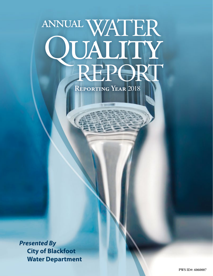# annualWATER REPORT QUALITY

**Reporting Year** 2018

*Presented By* **City of Blackfoot Water Department**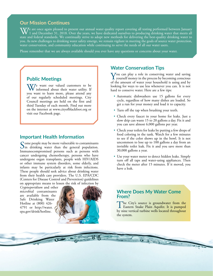# **Our Mission Continues**

 $\mathbf{W}$  are once again pleased to present our annual water quality report covering all testing performed between January<br>1 and December 31, 2018. Over the years, we have dedicated ourselves to producing drinking water th state and federal standards. We continually strive to adopt new methods for delivering the best-quality drinking water to you. As new challenges to drinking water safety emerge, we remain vigilant in meeting the goals of source water protection, water conservation, and community education while continuing to serve the needs of all our water users.

Please remember that we are always available should you ever have any questions or concerns about your water.

## **Public Meetings**

We want our valued customers to be informed about their water utility. If you want to learn more, please attend any of our regularly scheduled meetings. City Council meetings are held on the first and third Tuesday of each month. Find out more on the internet at [www.cityofblackfoot.org](http://www.cityofblackfoot.org) or visit our Facebook page.

#### **Important Health Information**

Some people may be more vulnerable to contaminants<br>in drinking water than the general population. Immunocompromised persons such as persons with cancer undergoing chemotherapy, persons who have undergone organ transplants, people with HIV/AIDS or other immune system disorders, some elderly, and infants may be particularly at risk from infections. These people should seek advice about drinking water from their health care providers. The U.S. EPA/CDC (Centers for Disease Control and Prevention) guidelines on appropriate means to lessen the risk of infection by

*Cryptosporidium* and other microbial contaminants are available from the Safe Drinking Water Hotline at (800) 426 4791 or [http://water.](http://water.epa.gov/drink/hotline) [epa.gov/drink/hotline](http://water.epa.gov/drink/hotline).



#### **Water Conservation Tips**

 $\sum$  you can play a role in conserving water and saving yourself money in the process by becoming conscious of the amount of water your household is using and by looking for ways to use less whenever you can. It is not hard to conserve water. Here are a few tips:

- Automatic dishwashers use 15 gallons for every cycle, regardless of how many dishes are loaded. So get a run for your money and load it to capacity.
- Turn off the tap when brushing your teeth.
- Check every faucet in your home for leaks. Just a slow drip can waste 15 to 20 gallons a day. Fix it and you can save almost 6,000 gallons per year.
- Check your toilets for leaks by putting a few drops of food coloring in the tank. Watch for a few minutes to see if the color shows up in the bowl. It is not uncommon to lose up to 100 gallons a day from an invisible toilet leak. Fix it and you save more than 30,000 gallons a year.
- Use your water meter to detect hidden leaks. Simply turn off all taps and water-using appliances. Then check the meter after 15 minutes. If it moved, you have a leak.

#### **Where Does My Water Come From?**

The City's source is groundwater from the Eastern Snake Plain Aquifer. It is pumped by nine vertical turbine wells located throughout the system.

 $U$   $U = 0$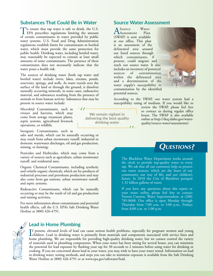#### **Substances That Could Be in Water**

To ensure that tap water is safe to drink, the U.S.<br>EPA prescribes regulations limiting the amount of certain contaminants in water provided by public water systems. U.S. Food and Drug Administration regulations establish limits for contaminants in bottled water, which must provide the same protection for public health. Drinking water, including bottled water, may reasonably be expected to contain at least small amounts of some contaminants. The presence of these contaminants does not necessarily indicate that the water poses a health risk.

The sources of drinking water (both tap water and bottled water) include rivers, lakes, streams, ponds, reservoirs, springs, and wells. As water travels over the surface of the land or through the ground, it dissolves naturally occurring minerals, in some cases, radioactive material, and substances resulting from the presence of animals or from human activity. Substances that may be present in source water include:

 $-I$ 

Microbial Contaminants, such as viruses and bacteria, which may come from sewage treatment plants, septic systems, agricultural livestock operations, or wildlife;

Inorganic Contaminants, such as

salts and metals, which can be naturally occurring or may result from urban stormwater runoff, industrial or domestic wastewater discharges, oil and gas production, mining, or farming;

Pesticides and Herbicides, which may come from a variety of sources such as agriculture, urban stormwater runoff, and residential uses;

Organic Chemical Contaminants, including synthetic and volatile organic chemicals, which are by-products of industrial processes and petroleum production and may also come from gas stations, urban stormwater runoff, and septic systems;

Radioactive Contaminants, which can be naturally occurring or may be the result of oil and gas production and mining activities.

For more information about contaminants and potential health effects, call the U.S. EPA's Safe Drinking Water Hotline at (800) 426-4791.

**We remain vigilant in delivering the best-quality drinking water**

#### **Source Water Assessment**

A Source Water (SWAP) is now available Assessment Plan at our office. This plan is an assessment of the delineated area around our listed sources through which contaminants, if present, could migrate and reach our source water. It also includes an inventory of potential sources of contamination within the delineated area and a determination of the water supply's susceptibility to contamination by the identified potential sources.



According to the SWAP, our water system had a susceptibility rating of medium. If you would like to

review the SWAP, please feel free to contact us during regular office hours. The SWAP is also available online at [http://deq.idaho.gov/water](http://deq.idaho.gov/water-quality/source-water/assessments/)[quality/source-water/assessments/](http://deq.idaho.gov/water-quality/source-water/assessments/).

# **Questions?**

The Blackfoot Water Department works around the clock to provide top-quality water to every tap. We ask that all our customers help us protect our water sources, which are the heart of our community, our way of life, and our children's future. In 2018 the City of Blackfoot pumped 1.32 billion gallons of water.

If you have any questions about this report or your water utility, please feel free to contact Vernon Cannon, Water Superintendent, at (208) 785-8608. Our office is open Monday through Thursday from 7:00 a.m. to 5:00 p.m., Fridays from 8:00 a.m. to 1:00 p.m.



#### **Lead in Home Plumbing**

If present, elevated levels of lead can cause serious health problems, especially for pregnant women and young<br>children. Lead in drinking water is primarily from materials and components associated with service lines and<br>h f present, elevated levels of lead can cause serious health problems, especially for pregnant women and young home plumbing. We are responsible for providing high-quality drinking water, but we cannot control the variety of materials used in plumbing components. When your water has been sitting for several hours, you can minimize the potential for lead exposure by flushing your tap for 30 seconds to 2 minutes before using water for drinking or cooking. If you are concerned about lead in your water, you may wish to have your water tested. Information on lead in drinking water, testing methods, and steps you can take to minimize exposure is available from the Safe Drinking Water Hotline at (800) 426-4791 or at [www.epa.gov/safewater/lead.](http://www.epa.gov/safewater/lead)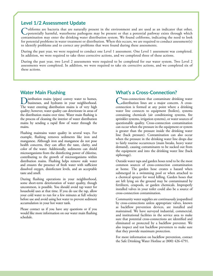#### **Level 1/2 Assessment Update**

Coliforms are bacteria that are naturally present in the environment and are used as an indicator that other, potentially harmful, waterborne pathogens may be present or that a potential pathway exists through which contamination may enter the drinking water distribution system. We found coliforms, indicating the need to look for potential problems in water treatment or distribution. When this occurs, we are required to conduct assessment(s) to identify problems and to correct any problems that were found during these assessments.

During the past year, we were required to conduct one Level 1 assessment. One Level 1 assessment was completed. In addition, we were required to take three corrective actions, and we completed three of these actions.

During the past year, two Level 2 assessments were required to be completed for our water system. Two Level 2 assessments were completed. In addition, we were required to take six corrective actions, and we completed six of these actions.

## **Water Main Flushing**

Distribution mains (pipes) convey water to homes, businesses, and hydrants in your neighborhood. The water entering distribution mains is of very high quality; however, water quality can deteriorate in areas of the distribution mains over time. Water main flushing is the process of cleaning the interior of water distribution mains by sending a rapid flow of water through the mains.

Flushing maintains water quality in several ways. For example, flushing removes sediments like iron and manganese. Although iron and manganese do not pose health concerns, they can affect the taste, clarity, and color of the water. Additionally, sediments can shield microorganisms from the disinfecting power of chlorine, contributing to the growth of microorganisms within distribution mains. Flushing helps remove stale water and ensures the presence of fresh water with sufficient dissolved oxygen, disinfectant levels, and an acceptable taste and smell.

During flushing operations in your neighborhood, some short-term deterioration of water quality, though uncommon, is possible. You should avoid tap water for household uses at that time. If you do use the tap, allow your cold water to run for a few minutes at full velocity before use and avoid using hot water to prevent sediment accumulation in your hot water tank.

Please contact us if you have any questions or if you would like more information on our water main flushing schedule.

## **What's a Cross-Connection?**

Cross-connections that contaminate drinking water distribution lines are a major concern. A crossconnection is formed at any point where a drinking water line connects to equipment (boilers), systems containing chemicals (air conditioning systems, fire sprinkler systems, irrigation systems), or water sources of questionable quality. Cross-connection contamination can occur when the pressure in the equipment or system is greater than the pressure inside the drinking water line (back pressure). Contamination can also occur when the pressure in the drinking water line drops due to fairly routine occurrences (main breaks, heavy water demand), causing contaminants to be sucked out from the equipment and into the drinking water line (back siphonage).

Outside water taps and garden hoses tend to be the most common sources of cross-connection contamination at home. The garden hose creates a hazard when submerged in a swimming pool or when attached to a chemical sprayer for weed killing. Garden hoses that are left lying on the ground may be contaminated by fertilizers, cesspools, or garden chemicals. Improperly installed valves in your toilet could also be a source of cross-connection contamination.

Community water supplies are continuously jeopardized by cross-connections unless appropriate valves, known as backflow prevention devices, are installed and maintained. We have surveyed industrial, commercial, and institutional facilities in the service area to make sure that potential cross-connections are identified and eliminated or protected by a backflow preventer. We also inspect and test backflow preventers to make sure that they provide maximum protection.

For more information on backflow prevention, contact the Safe Drinking Water Hotline at (800) 426-4791.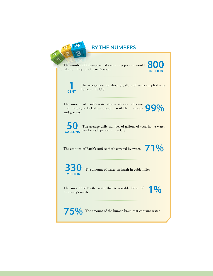

# **BY THE NUMBERS**

The number of Olympic-sized swimming pools it would The number of Olympic-sized swimming pools it would<br>take to fill up all of Earth's water. **TRILLION**



The average cost for about 5 gallons of water supplied to a home in the U.S. **CENT** 

The amount of Earth's water that is salty or otherwise undrinkable, or locked away and unavailable in ice caps The amount of Earth's water that is salty or otherwise<br>undrinkable, or locked away and unavailable in ice caps<br>and glaciers.



The average daily number of gallons of total home water **GALLONS** use for each person in the U.S.

The amount of Earth's surface that's covered by water. **71 %** 

The amount of water on Earth in cubic miles. **MILLION**

The amount of Earth's water that is available for all of **1 %** 

**75%** The amount of the human brain that contains water.